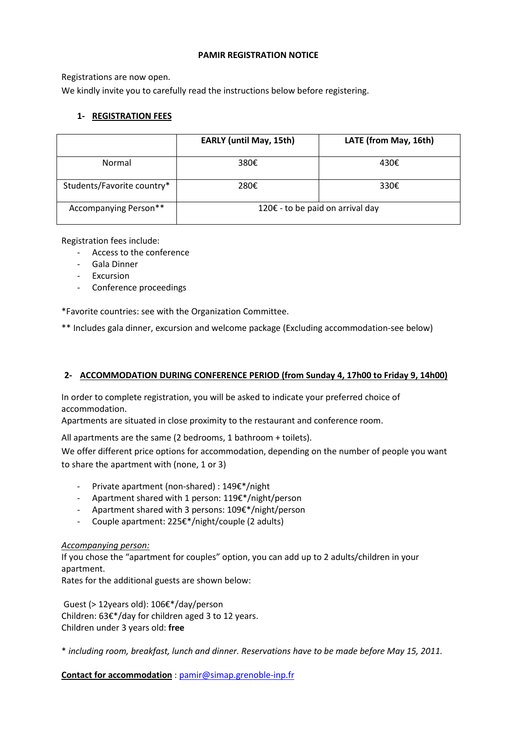### **PAMIR REGISTRATION NOTICE**

Registrations are now open.

We kindly invite you to carefully read the instructions below before registering.

# **1- REGISTRATION FEES**

|                            | <b>EARLY (until May, 15th)</b>   | LATE (from May, 16th) |
|----------------------------|----------------------------------|-----------------------|
| Normal                     | 380€                             | 430€                  |
| Students/Favorite country* | 280€                             | 330€                  |
| Accompanying Person**      | 120€ - to be paid on arrival day |                       |

Registration fees include:

- Access to the conference
- Gala Dinner
- Excursion
- Conference proceedings

\*Favorite countries: see with the Organization Committee.

\*\* Includes gala dinner, excursion and welcome package (Excluding accommodation-see below)

### **2- ACCOMMODATION DURING CONFERENCE PERIOD (from Sunday 4, 17h00 to Friday 9, 14h00)**

In order to complete registration, you will be asked to indicate your preferred choice of accommodation.

Apartments are situated in close proximity to the restaurant and conference room.

All apartments are the same (2 bedrooms, 1 bathroom + toilets).

We offer different price options for accommodation, depending on the number of people you want to share the apartment with (none, 1 or 3)

- Private apartment (non-shared) : 149€\*/night
- Apartment shared with 1 person: 119€\*/night/person
- Apartment shared with 3 persons: 109€\*/night/person
- Couple apartment: 225€\*/night/couple (2 adults)

### *Accompanying person:*

If you chose the "apartment for couples" option, you can add up to 2 adults/children in your apartment.

Rates for the additional guests are shown below:

Guest (> 12years old): 106€\*/day/person Children: 63€\*/day for children aged 3 to 12 years. Children under 3 years old: **free**

\* *including room, breakfast, lunch and dinner. Reservations have to be made before May 15, 2011.*

**Contact for accommodation** : [pamir@simap.grenoble-inp.fr](mailto:pamir@simap.grenoble-inp.fr)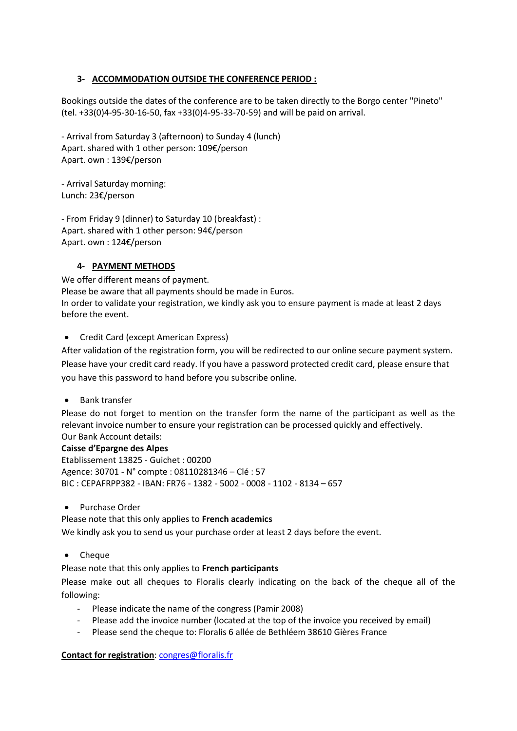# **3- ACCOMMODATION OUTSIDE THE CONFERENCE PERIOD :**

Bookings outside the dates of the conference are to be taken directly to the Borgo center "Pineto" (tel. +33(0)4-95-30-16-50, fax +33(0)4-95-33-70-59) and will be paid on arrival.

- Arrival from Saturday 3 (afternoon) to Sunday 4 (lunch) Apart. shared with 1 other person: 109€/person Apart. own : 139€/person

- Arrival Saturday morning: Lunch: 23€/person

- From Friday 9 (dinner) to Saturday 10 (breakfast) : Apart. shared with 1 other person: 94€/person Apart. own : 124€/person

# **4- PAYMENT METHODS**

We offer different means of payment. Please be aware that all payments should be made in Euros. In order to validate your registration, we kindly ask you to ensure payment is made at least 2 days before the event.

• Credit Card (except American Express)

After validation of the registration form, you will be redirected to our online secure payment system. Please have your credit card ready. If you have a password protected credit card, please ensure that you have this password to hand before you subscribe online.

Bank transfer

Please do not forget to mention on the transfer form the name of the participant as well as the relevant invoice number to ensure your registration can be processed quickly and effectively. Our Bank Account details:

# **Caisse d'Epargne des Alpes**

Etablissement 13825 - Guichet : 00200 Agence: 30701 - N° compte : 08110281346 – Clé : 57 BIC : CEPAFRPP382 - IBAN: FR76 - 1382 - 5002 - 0008 - 1102 - 8134 – 657

• Purchase Order

Please note that this only applies to **French academics**

We kindly ask you to send us your purchase order at least 2 days before the event.

• Cheque

Please note that this only applies to **French participants**

Please make out all cheques to Floralis clearly indicating on the back of the cheque all of the following:

- Please indicate the name of the congress (Pamir 2008)
- Please add the invoice number (located at the top of the invoice you received by email)
- Please send the cheque to: Floralis 6 allée de Bethléem 38610 Gières France

# **Contact for registration**: [congres@floralis.fr](mailto:congres@floralis.fr)